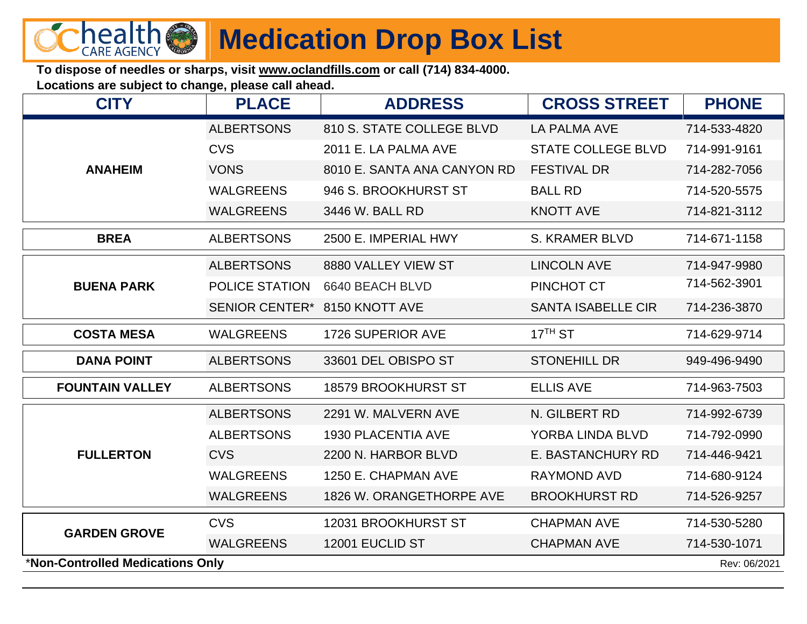

## **Medication Drop Box List**

**To dispose of needles or sharps, visit www.oclandfills.com or call (714) 834-4000.**

**Locations are subject to change, please call ahead.**

| <b>ALBERTSONS</b><br>810 S. STATE COLLEGE BLVD<br><b>LA PALMA AVE</b><br>714-533-4820<br><b>CVS</b><br><b>STATE COLLEGE BLVD</b><br>2011 E. LA PALMA AVE<br>714-991-9161<br><b>ANAHEIM</b><br><b>VONS</b><br>8010 E. SANTA ANA CANYON RD<br><b>FESTIVAL DR</b><br>714-282-7056<br><b>WALGREENS</b><br><b>BALL RD</b><br>946 S. BROOKHURST ST<br>714-520-5575<br><b>WALGREENS</b><br>3446 W. BALL RD<br><b>KNOTT AVE</b><br>714-821-3112<br><b>BREA</b><br><b>ALBERTSONS</b><br>2500 E. IMPERIAL HWY<br><b>S. KRAMER BLVD</b><br>714-671-1158<br><b>ALBERTSONS</b><br>8880 VALLEY VIEW ST<br><b>LINCOLN AVE</b><br>714-947-9980<br>714-562-3901<br><b>POLICE STATION</b><br>PINCHOT CT<br><b>BUENA PARK</b><br>6640 BEACH BLVD<br><b>SENIOR CENTER*</b><br><b>SANTA ISABELLE CIR</b><br>8150 KNOTT AVE<br>714-236-3870<br>$17TH$ ST<br>1726 SUPERIOR AVE<br><b>COSTA MESA</b><br><b>WALGREENS</b><br>714-629-9714<br><b>ALBERTSONS</b><br>33601 DEL OBISPO ST<br><b>DANA POINT</b><br><b>STONEHILL DR</b><br>949-496-9490<br><b>FOUNTAIN VALLEY</b><br><b>ALBERTSONS</b><br><b>18579 BROOKHURST ST</b><br><b>ELLIS AVE</b><br>714-963-7503<br><b>ALBERTSONS</b><br>2291 W. MALVERN AVE<br>N. GILBERT RD<br>714-992-6739<br><b>1930 PLACENTIA AVE</b><br>YORBA LINDA BLVD<br>714-792-0990<br><b>ALBERTSONS</b><br><b>FULLERTON</b><br><b>CVS</b><br>2200 N. HARBOR BLVD<br>E. BASTANCHURY RD<br>714-446-9421<br><b>WALGREENS</b><br>1250 E. CHAPMAN AVE<br><b>RAYMOND AVD</b><br>714-680-9124<br><b>WALGREENS</b><br>1826 W. ORANGETHORPE AVE<br><b>BROOKHURST RD</b><br>714-526-9257<br><b>CVS</b><br>12031 BROOKHURST ST<br><b>CHAPMAN AVE</b><br>714-530-5280<br><b>GARDEN GROVE</b><br>12001 EUCLID ST<br><b>WALGREENS</b><br><b>CHAPMAN AVE</b><br>714-530-1071<br>*Non-Controlled Medications Only<br>Rev: 06/2021 | <b>CITY</b> | <b>PLACE</b> | <b>ADDRESS</b> | <b>CROSS STREET</b> | <b>PHONE</b> |  |  |
|------------------------------------------------------------------------------------------------------------------------------------------------------------------------------------------------------------------------------------------------------------------------------------------------------------------------------------------------------------------------------------------------------------------------------------------------------------------------------------------------------------------------------------------------------------------------------------------------------------------------------------------------------------------------------------------------------------------------------------------------------------------------------------------------------------------------------------------------------------------------------------------------------------------------------------------------------------------------------------------------------------------------------------------------------------------------------------------------------------------------------------------------------------------------------------------------------------------------------------------------------------------------------------------------------------------------------------------------------------------------------------------------------------------------------------------------------------------------------------------------------------------------------------------------------------------------------------------------------------------------------------------------------------------------------------------------------------------------------------------------------------------------------------------------------------------------|-------------|--------------|----------------|---------------------|--------------|--|--|
|                                                                                                                                                                                                                                                                                                                                                                                                                                                                                                                                                                                                                                                                                                                                                                                                                                                                                                                                                                                                                                                                                                                                                                                                                                                                                                                                                                                                                                                                                                                                                                                                                                                                                                                                                                                                                        |             |              |                |                     |              |  |  |
|                                                                                                                                                                                                                                                                                                                                                                                                                                                                                                                                                                                                                                                                                                                                                                                                                                                                                                                                                                                                                                                                                                                                                                                                                                                                                                                                                                                                                                                                                                                                                                                                                                                                                                                                                                                                                        |             |              |                |                     |              |  |  |
|                                                                                                                                                                                                                                                                                                                                                                                                                                                                                                                                                                                                                                                                                                                                                                                                                                                                                                                                                                                                                                                                                                                                                                                                                                                                                                                                                                                                                                                                                                                                                                                                                                                                                                                                                                                                                        |             |              |                |                     |              |  |  |
|                                                                                                                                                                                                                                                                                                                                                                                                                                                                                                                                                                                                                                                                                                                                                                                                                                                                                                                                                                                                                                                                                                                                                                                                                                                                                                                                                                                                                                                                                                                                                                                                                                                                                                                                                                                                                        |             |              |                |                     |              |  |  |
|                                                                                                                                                                                                                                                                                                                                                                                                                                                                                                                                                                                                                                                                                                                                                                                                                                                                                                                                                                                                                                                                                                                                                                                                                                                                                                                                                                                                                                                                                                                                                                                                                                                                                                                                                                                                                        |             |              |                |                     |              |  |  |
|                                                                                                                                                                                                                                                                                                                                                                                                                                                                                                                                                                                                                                                                                                                                                                                                                                                                                                                                                                                                                                                                                                                                                                                                                                                                                                                                                                                                                                                                                                                                                                                                                                                                                                                                                                                                                        |             |              |                |                     |              |  |  |
|                                                                                                                                                                                                                                                                                                                                                                                                                                                                                                                                                                                                                                                                                                                                                                                                                                                                                                                                                                                                                                                                                                                                                                                                                                                                                                                                                                                                                                                                                                                                                                                                                                                                                                                                                                                                                        |             |              |                |                     |              |  |  |
|                                                                                                                                                                                                                                                                                                                                                                                                                                                                                                                                                                                                                                                                                                                                                                                                                                                                                                                                                                                                                                                                                                                                                                                                                                                                                                                                                                                                                                                                                                                                                                                                                                                                                                                                                                                                                        |             |              |                |                     |              |  |  |
|                                                                                                                                                                                                                                                                                                                                                                                                                                                                                                                                                                                                                                                                                                                                                                                                                                                                                                                                                                                                                                                                                                                                                                                                                                                                                                                                                                                                                                                                                                                                                                                                                                                                                                                                                                                                                        |             |              |                |                     |              |  |  |
|                                                                                                                                                                                                                                                                                                                                                                                                                                                                                                                                                                                                                                                                                                                                                                                                                                                                                                                                                                                                                                                                                                                                                                                                                                                                                                                                                                                                                                                                                                                                                                                                                                                                                                                                                                                                                        |             |              |                |                     |              |  |  |
|                                                                                                                                                                                                                                                                                                                                                                                                                                                                                                                                                                                                                                                                                                                                                                                                                                                                                                                                                                                                                                                                                                                                                                                                                                                                                                                                                                                                                                                                                                                                                                                                                                                                                                                                                                                                                        |             |              |                |                     |              |  |  |
|                                                                                                                                                                                                                                                                                                                                                                                                                                                                                                                                                                                                                                                                                                                                                                                                                                                                                                                                                                                                                                                                                                                                                                                                                                                                                                                                                                                                                                                                                                                                                                                                                                                                                                                                                                                                                        |             |              |                |                     |              |  |  |
|                                                                                                                                                                                                                                                                                                                                                                                                                                                                                                                                                                                                                                                                                                                                                                                                                                                                                                                                                                                                                                                                                                                                                                                                                                                                                                                                                                                                                                                                                                                                                                                                                                                                                                                                                                                                                        |             |              |                |                     |              |  |  |
|                                                                                                                                                                                                                                                                                                                                                                                                                                                                                                                                                                                                                                                                                                                                                                                                                                                                                                                                                                                                                                                                                                                                                                                                                                                                                                                                                                                                                                                                                                                                                                                                                                                                                                                                                                                                                        |             |              |                |                     |              |  |  |
|                                                                                                                                                                                                                                                                                                                                                                                                                                                                                                                                                                                                                                                                                                                                                                                                                                                                                                                                                                                                                                                                                                                                                                                                                                                                                                                                                                                                                                                                                                                                                                                                                                                                                                                                                                                                                        |             |              |                |                     |              |  |  |
|                                                                                                                                                                                                                                                                                                                                                                                                                                                                                                                                                                                                                                                                                                                                                                                                                                                                                                                                                                                                                                                                                                                                                                                                                                                                                                                                                                                                                                                                                                                                                                                                                                                                                                                                                                                                                        |             |              |                |                     |              |  |  |
|                                                                                                                                                                                                                                                                                                                                                                                                                                                                                                                                                                                                                                                                                                                                                                                                                                                                                                                                                                                                                                                                                                                                                                                                                                                                                                                                                                                                                                                                                                                                                                                                                                                                                                                                                                                                                        |             |              |                |                     |              |  |  |
|                                                                                                                                                                                                                                                                                                                                                                                                                                                                                                                                                                                                                                                                                                                                                                                                                                                                                                                                                                                                                                                                                                                                                                                                                                                                                                                                                                                                                                                                                                                                                                                                                                                                                                                                                                                                                        |             |              |                |                     |              |  |  |
|                                                                                                                                                                                                                                                                                                                                                                                                                                                                                                                                                                                                                                                                                                                                                                                                                                                                                                                                                                                                                                                                                                                                                                                                                                                                                                                                                                                                                                                                                                                                                                                                                                                                                                                                                                                                                        |             |              |                |                     |              |  |  |
|                                                                                                                                                                                                                                                                                                                                                                                                                                                                                                                                                                                                                                                                                                                                                                                                                                                                                                                                                                                                                                                                                                                                                                                                                                                                                                                                                                                                                                                                                                                                                                                                                                                                                                                                                                                                                        |             |              |                |                     |              |  |  |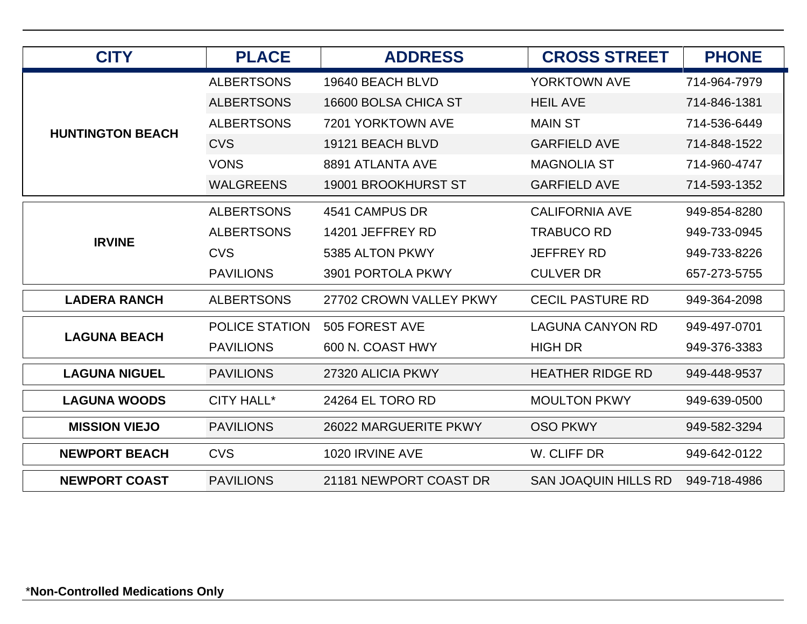| <b>CITY</b>             | <b>PLACE</b>          | <b>ADDRESS</b>             | <b>CROSS STREET</b>         | <b>PHONE</b> |
|-------------------------|-----------------------|----------------------------|-----------------------------|--------------|
|                         | <b>ALBERTSONS</b>     | 19640 BEACH BLVD           | <b>YORKTOWN AVE</b>         | 714-964-7979 |
|                         | <b>ALBERTSONS</b>     | 16600 BOLSA CHICA ST       | <b>HEIL AVE</b>             | 714-846-1381 |
| <b>HUNTINGTON BEACH</b> | <b>ALBERTSONS</b>     | 7201 YORKTOWN AVE          | <b>MAIN ST</b>              | 714-536-6449 |
|                         | <b>CVS</b>            | 19121 BEACH BLVD           | <b>GARFIELD AVE</b>         | 714-848-1522 |
|                         | <b>VONS</b>           | 8891 ATLANTA AVE           | <b>MAGNOLIA ST</b>          | 714-960-4747 |
|                         | <b>WALGREENS</b>      | <b>19001 BROOKHURST ST</b> | <b>GARFIELD AVE</b>         | 714-593-1352 |
| <b>IRVINE</b>           | <b>ALBERTSONS</b>     | 4541 CAMPUS DR             | <b>CALIFORNIA AVE</b>       | 949-854-8280 |
|                         | <b>ALBERTSONS</b>     | 14201 JEFFREY RD           | <b>TRABUCO RD</b>           | 949-733-0945 |
|                         | <b>CVS</b>            | 5385 ALTON PKWY            | <b>JEFFREY RD</b>           | 949-733-8226 |
|                         | <b>PAVILIONS</b>      | 3901 PORTOLA PKWY          | <b>CULVER DR</b>            | 657-273-5755 |
| <b>LADERA RANCH</b>     | <b>ALBERTSONS</b>     | 27702 CROWN VALLEY PKWY    | <b>CECIL PASTURE RD</b>     | 949-364-2098 |
| <b>LAGUNA BEACH</b>     | <b>POLICE STATION</b> | 505 FOREST AVE             | <b>LAGUNA CANYON RD</b>     | 949-497-0701 |
|                         | <b>PAVILIONS</b>      | 600 N. COAST HWY           | <b>HIGH DR</b>              | 949-376-3383 |
| <b>LAGUNA NIGUEL</b>    | <b>PAVILIONS</b>      | 27320 ALICIA PKWY          | <b>HEATHER RIDGE RD</b>     | 949-448-9537 |
| <b>LAGUNA WOODS</b>     | <b>CITY HALL*</b>     | 24264 EL TORO RD           | <b>MOULTON PKWY</b>         | 949-639-0500 |
| <b>MISSION VIEJO</b>    | <b>PAVILIONS</b>      | 26022 MARGUERITE PKWY      | <b>OSO PKWY</b>             | 949-582-3294 |
| <b>NEWPORT BEACH</b>    | <b>CVS</b>            | 1020 IRVINE AVE            | W. CLIFF DR                 | 949-642-0122 |
| <b>NEWPORT COAST</b>    | <b>PAVILIONS</b>      | 21181 NEWPORT COAST DR     | <b>SAN JOAQUIN HILLS RD</b> | 949-718-4986 |